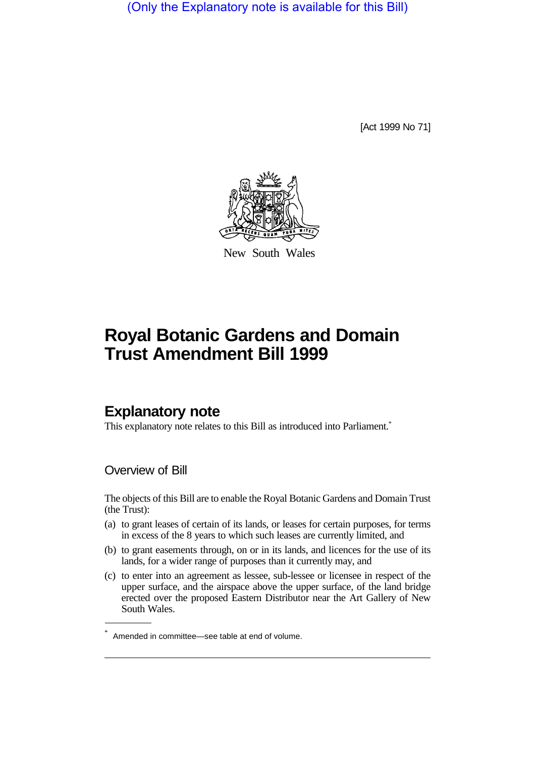(Only the Explanatory note is available for this Bill)

[Act 1999 No 71]



New South Wales

# **Royal Botanic Gardens and Domain Trust Amendment Bill 1999**

## **Explanatory note**

This explanatory note relates to this Bill as introduced into Parliament.<sup>\*</sup>

### Overview of Bill

The objects of this Bill are to enable the Royal Botanic Gardens and Domain Trust (the Trust):

- (a) to grant leases of certain of its lands, or leases for certain purposes, for terms in excess of the 8 years to which such leases are currently limited, and
- (b) to grant easements through, on or in its lands, and licences for the use of its lands, for a wider range of purposes than it currently may, and
- (c) to enter into an agreement as lessee, sub-lessee or licensee in respect of the upper surface, and the airspace above the upper surface, of the land bridge erected over the proposed Eastern Distributor near the Art Gallery of New South Wales.

<sup>\*</sup> Amended in committee—see table at end of volume.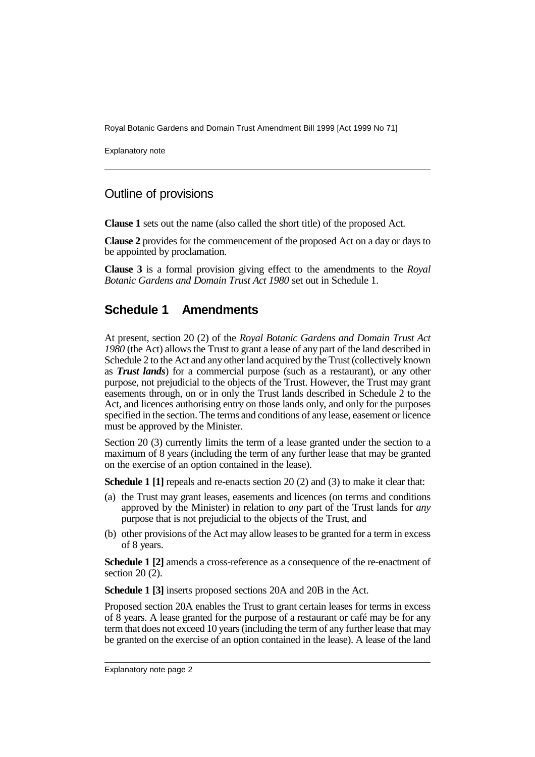Royal Botanic Gardens and Domain Trust Amendment Bill 1999 [Act 1999 No 71]

Explanatory note

#### Outline of provisions

**Clause 1** sets out the name (also called the short title) of the proposed Act.

**Clause 2** provides for the commencement of the proposed Act on a day or days to be appointed by proclamation.

**Clause 3** is a formal provision giving effect to the amendments to the *Royal Botanic Gardens and Domain Trust Act 1980* set out in Schedule 1.

### **Schedule 1 Amendments**

At present, section 20 (2) of the *Royal Botanic Gardens and Domain Trust Act 1980* (the Act) allows the Trust to grant a lease of any part of the land described in Schedule 2 to the Act and any other land acquired by the Trust (collectively known as *Trust lands*) for a commercial purpose (such as a restaurant), or any other purpose, not prejudicial to the objects of the Trust. However, the Trust may grant easements through, on or in only the Trust lands described in Schedule 2 to the Act, and licences authorising entry on those lands only, and only for the purposes specified in the section. The terms and conditions of any lease, easement or licence must be approved by the Minister.

Section 20 (3) currently limits the term of a lease granted under the section to a maximum of 8 years (including the term of any further lease that may be granted on the exercise of an option contained in the lease).

**Schedule 1 [1]** repeals and re-enacts section 20 (2) and (3) to make it clear that:

- (a) the Trust may grant leases, easements and licences (on terms and conditions approved by the Minister) in relation to *any* part of the Trust lands for *any* purpose that is not prejudicial to the objects of the Trust, and
- (b) other provisions of the Act may allow leases to be granted for a term in excess of 8 years.

**Schedule 1 [2]** amends a cross-reference as a consequence of the re-enactment of section 20 (2).

**Schedule 1 [3]** inserts proposed sections 20A and 20B in the Act.

Proposed section 20A enables the Trust to grant certain leases for terms in excess of 8 years. A lease granted for the purpose of a restaurant or café may be for any term that does not exceed 10 years (including the term of any further lease that may be granted on the exercise of an option contained in the lease). A lease of the land